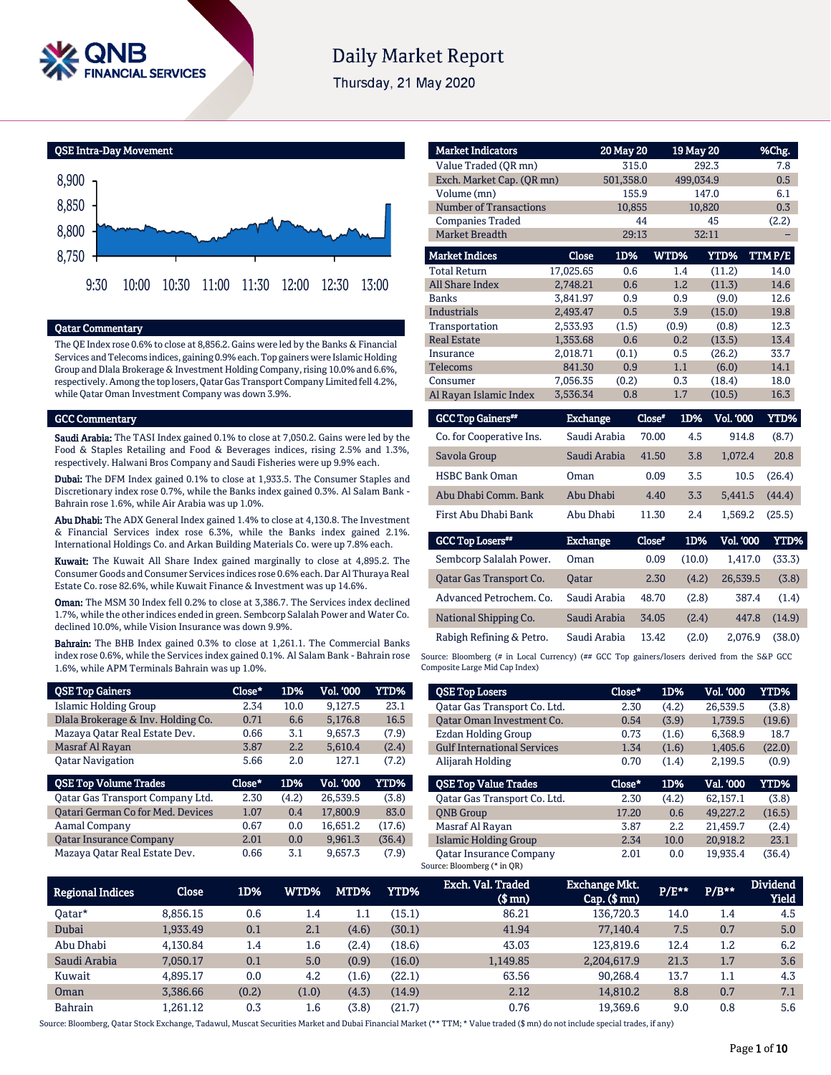

# **Daily Market Report**

Thursday, 21 May 2020



#### Qatar Commentary

The QE Index rose 0.6% to close at 8,856.2. Gains were led by the Banks & Financial Services and Telecoms indices, gaining 0.9% each. Top gainers were Islamic Holding Group and Dlala Brokerage & Investment Holding Company, rising 10.0% and 6.6%, respectively. Among the top losers, Qatar Gas Transport Company Limited fell 4.2%, while Qatar Oman Investment Company was down 3.9%.

#### GCC Commentary

Saudi Arabia: The TASI Index gained 0.1% to close at 7,050.2. Gains were led by the Food & Staples Retailing and Food & Beverages indices, rising 2.5% and 1.3%, respectively. Halwani Bros Company and Saudi Fisheries were up 9.9% each.

Dubai: The DFM Index gained 0.1% to close at 1,933.5. The Consumer Staples and Discretionary index rose 0.7%, while the Banks index gained 0.3%. Al Salam Bank - Bahrain rose 1.6%, while Air Arabia was up 1.0%.

Abu Dhabi: The ADX General Index gained 1.4% to close at 4,130.8. The Investment & Financial Services index rose 6.3%, while the Banks index gained 2.1%. International Holdings Co. and Arkan Building Materials Co. were up 7.8% each.

Kuwait: The Kuwait All Share Index gained marginally to close at 4,895.2. The Consumer Goods and Consumer Services indices rose 0.6% each. Dar Al Thuraya Real Estate Co. rose 82.6%, while Kuwait Finance & Investment was up 14.6%.

Oman: The MSM 30 Index fell 0.2% to close at 3,386.7. The Services index declined 1.7%, while the other indices ended in green. Sembcorp Salalah Power and Water Co. declined 10.0%, while Vision Insurance was down 9.9%.

Bahrain: The BHB Index gained 0.3% to close at 1,261.1. The Commercial Banks index rose 0.6%, while the Services index gained 0.1%. Al Salam Bank - Bahrain rose 1.6%, while APM Terminals Bahrain was up 1.0%.

| <b>QSE Top Gainers</b>                   | Close* | 1D%   | Vol. '000 | YTD%   |
|------------------------------------------|--------|-------|-----------|--------|
| <b>Islamic Holding Group</b>             | 2.34   | 10.0  | 9,127.5   | 23.1   |
| Dlala Brokerage & Inv. Holding Co.       | 0.71   | 6.6   | 5.176.8   | 16.5   |
| Mazaya Qatar Real Estate Dev.            | 0.66   | 3.1   | 9,657.3   | (7.9)  |
| Masraf Al Rayan                          | 3.87   | 2.2   | 5.610.4   | (2.4)  |
| <b>Oatar Navigation</b>                  | 5.66   | 2.0   | 127.1     | (7.2)  |
|                                          |        |       |           |        |
| <b>QSE Top Volume Trades</b>             | Close* | 1D%   | Vol. '000 | YTD%   |
| Oatar Gas Transport Company Ltd.         | 2.30   | (4.2) | 26,539.5  | (3.8)  |
| <b>Qatari German Co for Med. Devices</b> | 1.07   | 0.4   | 17,800.9  | 83.0   |
| Aamal Company                            | 0.67   | 0.0   | 16,651.2  | (17.6) |
| <b>Oatar Insurance Company</b>           | 2.01   | 0.0   | 9.961.3   | (36.4) |

| <b>Market Indicators</b>      |           | <b>20 May 20</b> |           | 19 May 20 | %Chg.  |
|-------------------------------|-----------|------------------|-----------|-----------|--------|
| Value Traded (QR mn)          |           | 315.0            | 292.3     |           | 7.8    |
| Exch. Market Cap. (QR mn)     | 501,358.0 |                  | 499,034.9 | 0.5       |        |
| Volume (mn)                   |           | 155.9            |           | 147.0     | 6.1    |
| <b>Number of Transactions</b> |           | 10,855           |           | 10,820    | 0.3    |
| <b>Companies Traded</b>       |           | 44               |           | 45        | (2.2)  |
| Market Breadth                |           | 29:13            |           | 32:11     |        |
| <b>Market Indices</b>         | Close     | 1D%              | WTD%      | YTD%      | TTMP/E |
| <b>Total Return</b>           | 17,025.65 | 0.6              | 1.4       | (11.2)    | 14.0   |
| <b>All Share Index</b>        | 2,748.21  | 0.6              | 1.2       | (11.3)    | 14.6   |
| <b>Banks</b>                  | 3,841.97  | 0.9              | 0.9       | (9.0)     | 12.6   |
| <b>Industrials</b>            | 2.493.47  | 0.5              | 3.9       | (15.0)    | 19.8   |
| Transportation                | 2,533.93  | (1.5)            | (0.9)     | (0.8)     | 12.3   |
| <b>Real Estate</b>            | 1.353.68  | 0.6              | 0.2       | (13.5)    | 13.4   |
| Insurance                     | 2,018.71  | (0.1)            | 0.5       | (26.2)    | 33.7   |
| Telecoms                      | 841.30    | 0.9              | 1.1       | (6.0)     | 14.1   |
| Consumer                      | 7,056.35  | (0.2)            | 0.3       | (18.4)    | 18.0   |
| Al Rayan Islamic Index        | 3,536.34  | 0.8              | 1.7       | (10.5)    | 16.3   |

| <b>GCC Top Gainers</b> " | <b>Exchange</b> | Close* | 1D% | Vol. '000' | YTD%   |
|--------------------------|-----------------|--------|-----|------------|--------|
| Co. for Cooperative Ins. | Saudi Arabia    | 70.00  | 4.5 | 914.8      | (8.7)  |
| Savola Group             | Saudi Arabia    | 41.50  | 3.8 | 1.072.4    | 20.8   |
| <b>HSBC Bank Oman</b>    | Oman            | 0.09   | 3.5 | 10.5       | (26.4) |
| Abu Dhabi Comm. Bank     | Abu Dhabi       | 4.40   | 3.3 | 5.441.5    | (44.4) |
| First Abu Dhabi Bank     | Abu Dhabi       | 11.30  | 2.4 | 1.569.2    | (25.5) |

| <b>GCC Top Losers##</b>  | <b>Exchange</b> | Close* | 1D%    | <b>Vol. '000</b> | YTD%   |
|--------------------------|-----------------|--------|--------|------------------|--------|
| Sembcorp Salalah Power.  | Oman            | 0.09   | (10.0) | 1.417.0          | (33.3) |
| Oatar Gas Transport Co.  | <b>Oatar</b>    | 2.30   | (4.2)  | 26.539.5         | (3.8)  |
| Advanced Petrochem. Co.  | Saudi Arabia    | 48.70  | (2.8)  | 387.4            | (1.4)  |
| National Shipping Co.    | Saudi Arabia    | 34.05  | (2.4)  | 447.8            | (14.9) |
| Rabigh Refining & Petro. | Saudi Arabia    | 13.42  | (2.0)  | 2.076.9          | (38.0) |

Source: Bloomberg (# in Local Currency) (## GCC Top gainers/losers derived from the S&P GCC Composite Large Mid Cap Index)

| <b>QSE Top Losers</b>              | Close* | 1D%   | <b>Vol. '000</b> | <b>YTD%</b> |
|------------------------------------|--------|-------|------------------|-------------|
| Oatar Gas Transport Co. Ltd.       | 2.30   | (4.2) | 26.539.5         | (3.8)       |
| Oatar Oman Investment Co.          | 0.54   | (3.9) | 1.739.5          | (19.6)      |
| <b>Ezdan Holding Group</b>         | 0.73   | (1.6) | 6,368.9          | 18.7        |
| <b>Gulf International Services</b> | 1.34   | (1.6) | 1.405.6          | (22.0)      |
| Alijarah Holding                   | 0.70   | (1.4) | 2.199.5          | (0.9)       |
|                                    |        |       |                  |             |
| <b>OSE Top Value Trades</b>        | Close* | 1D%   | Val. '000        | <b>YTD%</b> |
| Oatar Gas Transport Co. Ltd.       | 2.30   | (4.2) | 62.157.1         | (3.8)       |
| <b>ONB</b> Group                   | 17.20  | 0.6   | 49.227.2         | (16.5)      |
| Masraf Al Rayan                    | 3.87   | 2.2   | 21.459.7         | (2.4)       |
| Islamic Holding Group              | 2.34   | 10.0  | 20,918.2         | 23.1        |

| <b>Regional Indices</b> | <b>Close</b> | 1D%   | WTD%  | MTD%  | YTD%   | Exch. Val. Traded<br>$$$ mn $)$ | <b>Exchange Mkt.</b><br>$Cap.$ $(\$$ mn) | $P/E***$ | $P/B**$ | <b>Dividend</b><br><b>Yield</b> |
|-------------------------|--------------|-------|-------|-------|--------|---------------------------------|------------------------------------------|----------|---------|---------------------------------|
| Oatar*                  | 8.856.15     | 0.6   | 1.4   | 1.1   | (15.1) | 86.21                           | 136,720.3                                | 14.0     | 1.4     | 4.5                             |
| Dubai                   | 1.933.49     | 0.1   | 2.1   | (4.6) | (30.1) | 41.94                           | 77.140.4                                 | 7.5      | 0.7     | 5.0                             |
| Abu Dhabi               | 4.130.84     | 1.4   | 1.6   | (2.4) | (18.6) | 43.03                           | 123,819.6                                | 12.4     | 1.2     | 6.2                             |
| Saudi Arabia            | 7,050.17     | 0.1   | 5.0   | (0.9) | (16.0) | 1,149.85                        | 2,204,617.9                              | 21.3     | 1.7     | 3.6                             |
| Kuwait                  | 4.895.17     | 0.0   | 4.2   | (1.6) | (22.1) | 63.56                           | 90.268.4                                 | 13.7     | 1.1     | 4.3                             |
| Oman                    | 3.386.66     | (0.2) | (1.0) | (4.3) | (14.9) | 2.12                            | 14.810.2                                 | 8.8      | 0.7     | 7.1                             |
| <b>Bahrain</b>          | 1.261.12     | 0.3   | 1.6   | (3.8) | (21.7) | 0.76                            | 19.369.6                                 | 9.0      | 0.8     | 5.6                             |

Source: Bloomberg, Qatar Stock Exchange, Tadawul, Muscat Securities Market and Dubai Financial Market (\*\* TTM; \* Value traded (\$ mn) do not include special trades, if any)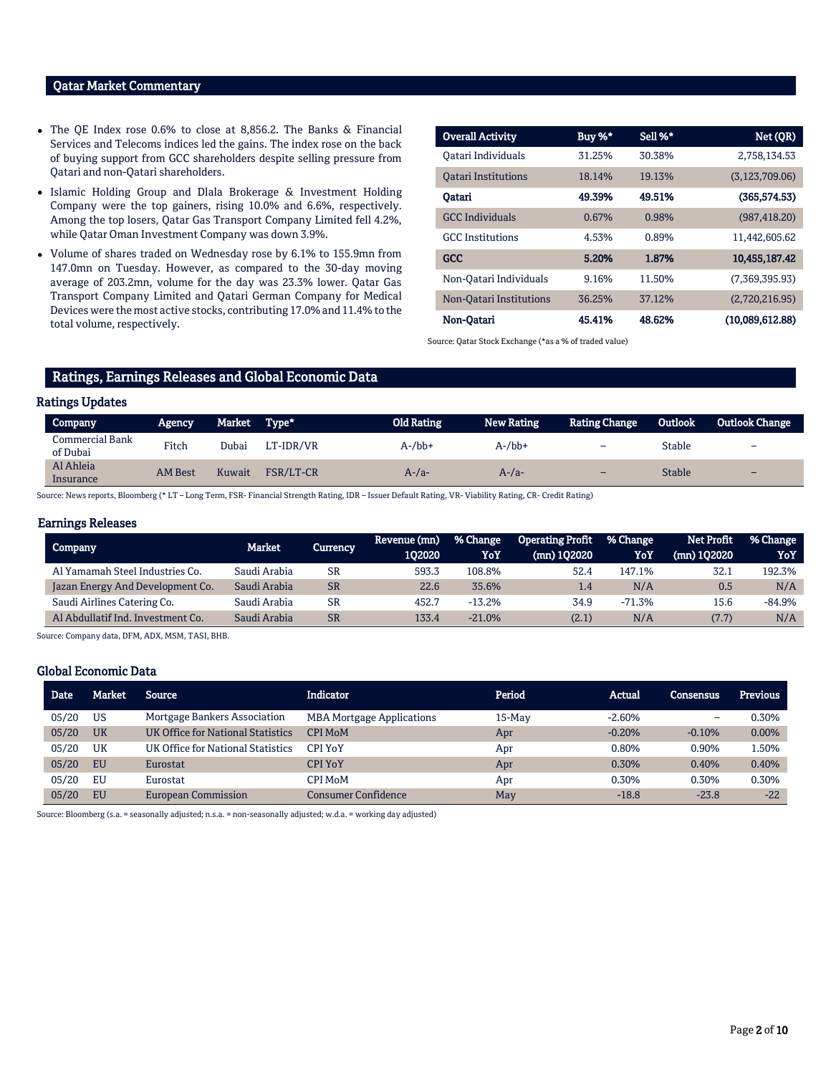## Qatar Market Commentary

- The QE Index rose 0.6% to close at 8,856.2. The Banks & Financial Services and Telecoms indices led the gains. The index rose on the back of buying support from GCC shareholders despite selling pressure from Qatari and non-Qatari shareholders.
- Islamic Holding Group and Dlala Brokerage & Investment Holding Company were the top gainers, rising 10.0% and 6.6%, respectively. Among the top losers, Qatar Gas Transport Company Limited fell 4.2%, while Qatar Oman Investment Company was down 3.9%.
- Volume of shares traded on Wednesday rose by 6.1% to 155.9mn from 147.0mn on Tuesday. However, as compared to the 30-day moving average of 203.2mn, volume for the day was 23.3% lower. Qatar Gas Transport Company Limited and Qatari German Company for Medical Devices were the most active stocks, contributing 17.0% and 11.4% to the total volume, respectively.

| <b>Overall Activity</b>    | Buy %* | Sell %* | Net (QR)        |
|----------------------------|--------|---------|-----------------|
| Oatari Individuals         | 31.25% | 30.38%  | 2,758,134.53    |
| <b>Oatari Institutions</b> | 18.14% | 19.13%  | (3.123.709.06)  |
| Oatari                     | 49.39% | 49.51%  | (365, 574.53)   |
| <b>GCC</b> Individuals     | 0.67%  | 0.98%   | (987, 418.20)   |
| <b>GCC</b> Institutions    | 4.53%  | 0.89%   | 11.442.605.62   |
| <b>GCC</b>                 | 5.20%  | 1.87%   | 10,455,187.42   |
| Non-Qatari Individuals     | 9.16%  | 11.50%  | (7,369,395.93)  |
| Non-Oatari Institutions    | 36.25% | 37.12%  | (2,720,216.95)  |
| Non-Qatari                 | 45.41% | 48.62%  | (10,089,612.88) |

Source: Qatar Stock Exchange (\*as a % of traded value)

# Ratings, Earnings Releases and Global Economic Data

#### Ratings Updates

| <b>Company</b>              | Agency         | Market | Type*            | Old Rating   | <b>New Rating</b> | <b>Rating Change</b>     | Outlook       | <b>Outlook Change</b>    |
|-----------------------------|----------------|--------|------------------|--------------|-------------------|--------------------------|---------------|--------------------------|
| Commercial Bank<br>of Dubai | Fitch          | Dubai  | LT-IDR/VR        | $A$ -/ $bb+$ | $A$ -/ $bb+$      | $\overline{\phantom{0}}$ | Stable        | $\overline{\phantom{0}}$ |
| Al Ahleia<br>Insurance      | <b>AM Best</b> | Kuwait | <b>FSR/LT-CR</b> | $A$ -/a-     | $A$ -/a-          | $\overline{\phantom{0}}$ | <b>Stable</b> | $\overline{\phantom{0}}$ |

Source: News reports, Bloomberg (\* LT – Long Term, FSR- Financial Strength Rating, IDR – Issuer Default Rating, VR- Viability Rating, CR- Credit Rating)

#### Earnings Releases

| Company                           | Market       | Currency  | Revenue (mn) | % Change | <b>Operating Profit</b> | % Change | <b>Net Profit</b> | % Change |
|-----------------------------------|--------------|-----------|--------------|----------|-------------------------|----------|-------------------|----------|
|                                   |              |           | 102020       | YoY      | (mn) 102020             | YoY.     | (mn) 102020       | YoY      |
| Al Yamamah Steel Industries Co.   | Saudi Arabia | <b>SR</b> | 593.3        | 108.8%   | 52.4                    | 147.1%   | 32.1              | 192.3%   |
| Jazan Energy And Development Co.  | Saudi Arabia | <b>SR</b> | 22.6         | 35.6%    | 1.4                     | N/A      | 0.5               | N/A      |
| Saudi Airlines Catering Co.       | Saudi Arabia | <b>SR</b> | 452.7        | $-13.2%$ | 34.9                    | $-71.3%$ | 15.6              | $-84.9%$ |
| Al Abdullatif Ind. Investment Co. | Saudi Arabia | <b>SR</b> | 133.4        | $-21.0%$ | (2.1)                   | N/A      | (7.7)             | N/A      |

Source: Company data, DFM, ADX, MSM, TASI, BHB.

### Global Economic Data

| <b>Date</b> | Market    | 'Source .                         | Indicator                        | Period   | Actual    | <b>Consensus</b> | <b>Previous</b> |
|-------------|-----------|-----------------------------------|----------------------------------|----------|-----------|------------------|-----------------|
| 05/20       | <b>US</b> | Mortgage Bankers Association      | <b>MBA Mortgage Applications</b> | $15-Mav$ | $-2.60\%$ | $\qquad \qquad$  | 0.30%           |
| 05/20       | UK        | UK Office for National Statistics | <b>CPI MoM</b>                   | Apr      | $-0.20%$  | $-0.10%$         | 0.00%           |
| 05/20       | UK        | UK Office for National Statistics | <b>CPI YoY</b>                   | Apr      | 0.80%     | 0.90%            | 1.50%           |
| 05/20       | <b>EU</b> | Eurostat                          | <b>CPI YoY</b>                   | Apr      | 0.30%     | 0.40%            | 0.40%           |
| 05/20       | EU        | Eurostat                          | CPI MoM                          | Apr      | 0.30%     | 0.30%            | 0.30%           |
| 05/20       | <b>EU</b> | European Commission               | <b>Consumer Confidence</b>       | May      | $-18.8$   | $-23.8$          | $-22$           |

Source: Bloomberg (s.a. = seasonally adjusted; n.s.a. = non-seasonally adjusted; w.d.a. = working day adjusted)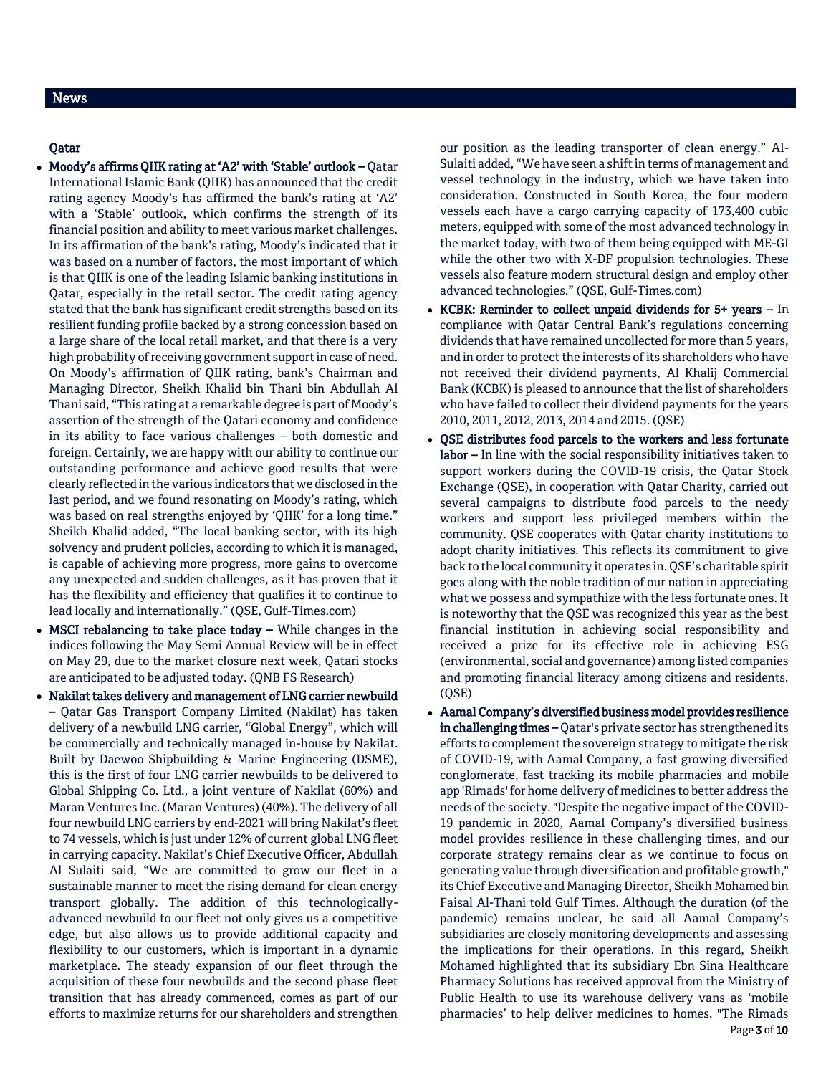# News

### Qatar

- Moody's affirms QIIK rating at 'A2' with 'Stable' outlook Qatar International Islamic Bank (QIIK) has announced that the credit rating agency Moody's has affirmed the bank's rating at 'A2' with a 'Stable' outlook, which confirms the strength of its financial position and ability to meet various market challenges. In its affirmation of the bank's rating, Moody's indicated that it was based on a number of factors, the most important of which is that QIIK is one of the leading Islamic banking institutions in Qatar, especially in the retail sector. The credit rating agency stated that the bank has significant credit strengths based on its resilient funding profile backed by a strong concession based on a large share of the local retail market, and that there is a very high probability of receiving government support in case of need. On Moody's affirmation of QIIK rating, bank's Chairman and Managing Director, Sheikh Khalid bin Thani bin Abdullah Al Thani said, "This rating at a remarkable degree is part of Moody's assertion of the strength of the Qatari economy and confidence in its ability to face various challenges – both domestic and foreign. Certainly, we are happy with our ability to continue our outstanding performance and achieve good results that were clearly reflected in the various indicators that we disclosed in the last period, and we found resonating on Moody's rating, which was based on real strengths enjoyed by 'QIIK' for a long time." Sheikh Khalid added, "The local banking sector, with its high solvency and prudent policies, according to which it is managed, is capable of achieving more progress, more gains to overcome any unexpected and sudden challenges, as it has proven that it has the flexibility and efficiency that qualifies it to continue to lead locally and internationally." (QSE, Gulf-Times.com)
- $\bullet$  MSCI rebalancing to take place today While changes in the indices following the May Semi Annual Review will be in effect on May 29, due to the market closure next week, Qatari stocks are anticipated to be adjusted today. (QNB FS Research)
- Nakilat takes delivery and management of LNG carrier newbuild – Qatar Gas Transport Company Limited (Nakilat) has taken delivery of a newbuild LNG carrier, "Global Energy", which will be commercially and technically managed in-house by Nakilat. Built by Daewoo Shipbuilding & Marine Engineering (DSME), this is the first of four LNG carrier newbuilds to be delivered to Global Shipping Co. Ltd., a joint venture of Nakilat (60%) and Maran Ventures Inc. (Maran Ventures) (40%). The delivery of all four newbuild LNG carriers by end-2021 will bring Nakilat's fleet to 74 vessels, which is just under 12% of current global LNG fleet in carrying capacity. Nakilat's Chief Executive Officer, Abdullah Al Sulaiti said, "We are committed to grow our fleet in a sustainable manner to meet the rising demand for clean energy transport globally. The addition of this technologicallyadvanced newbuild to our fleet not only gives us a competitive edge, but also allows us to provide additional capacity and flexibility to our customers, which is important in a dynamic marketplace. The steady expansion of our fleet through the acquisition of these four newbuilds and the second phase fleet transition that has already commenced, comes as part of our efforts to maximize returns for our shareholders and strengthen

our position as the leading transporter of clean energy." Al-Sulaiti added, "We have seen a shift in terms of management and vessel technology in the industry, which we have taken into consideration. Constructed in South Korea, the four modern vessels each have a cargo carrying capacity of 173,400 cubic meters, equipped with some of the most advanced technology in the market today, with two of them being equipped with ME-GI while the other two with X-DF propulsion technologies. These vessels also feature modern structural design and employ other advanced technologies." (QSE, Gulf-Times.com)

- KCBK: Reminder to collect unpaid dividends for  $5+$  years In compliance with Qatar Central Bank's regulations concerning dividends that have remained uncollected for more than 5 years, and in order to protect the interests of its shareholders who have not received their dividend payments, Al Khalij Commercial Bank (KCBK) is pleased to announce that the list of shareholders who have failed to collect their dividend payments for the years 2010, 2011, 2012, 2013, 2014 and 2015. (QSE)
- QSE distributes food parcels to the workers and less fortunate labor – In line with the social responsibility initiatives taken to support workers during the COVID-19 crisis, the Qatar Stock Exchange (QSE), in cooperation with Qatar Charity, carried out several campaigns to distribute food parcels to the needy workers and support less privileged members within the community. QSE cooperates with Qatar charity institutions to adopt charity initiatives. This reflects its commitment to give back to the local community it operates in. QSE's charitable spirit goes along with the noble tradition of our nation in appreciating what we possess and sympathize with the less fortunate ones. It is noteworthy that the QSE was recognized this year as the best financial institution in achieving social responsibility and received a prize for its effective role in achieving ESG (environmental, social and governance) among listed companies and promoting financial literacy among citizens and residents. (QSE)
- Page 3 of 10 Aamal Company's diversified business model provides resilience in challenging times – Qatar's private sector has strengthened its efforts to complement the sovereign strategy to mitigate the risk of COVID-19, with Aamal Company, a fast growing diversified conglomerate, fast tracking its mobile pharmacies and mobile app 'Rimads' for home delivery of medicines to better address the needs of the society. "Despite the negative impact of the COVID-19 pandemic in 2020, Aamal Company's diversified business model provides resilience in these challenging times, and our corporate strategy remains clear as we continue to focus on generating value through diversification and profitable growth," its Chief Executive and Managing Director, Sheikh Mohamed bin Faisal Al-Thani told Gulf Times. Although the duration (of the pandemic) remains unclear, he said all Aamal Company's subsidiaries are closely monitoring developments and assessing the implications for their operations. In this regard, Sheikh Mohamed highlighted that its subsidiary Ebn Sina Healthcare Pharmacy Solutions has received approval from the Ministry of Public Health to use its warehouse delivery vans as 'mobile pharmacies' to help deliver medicines to homes. "The Rimads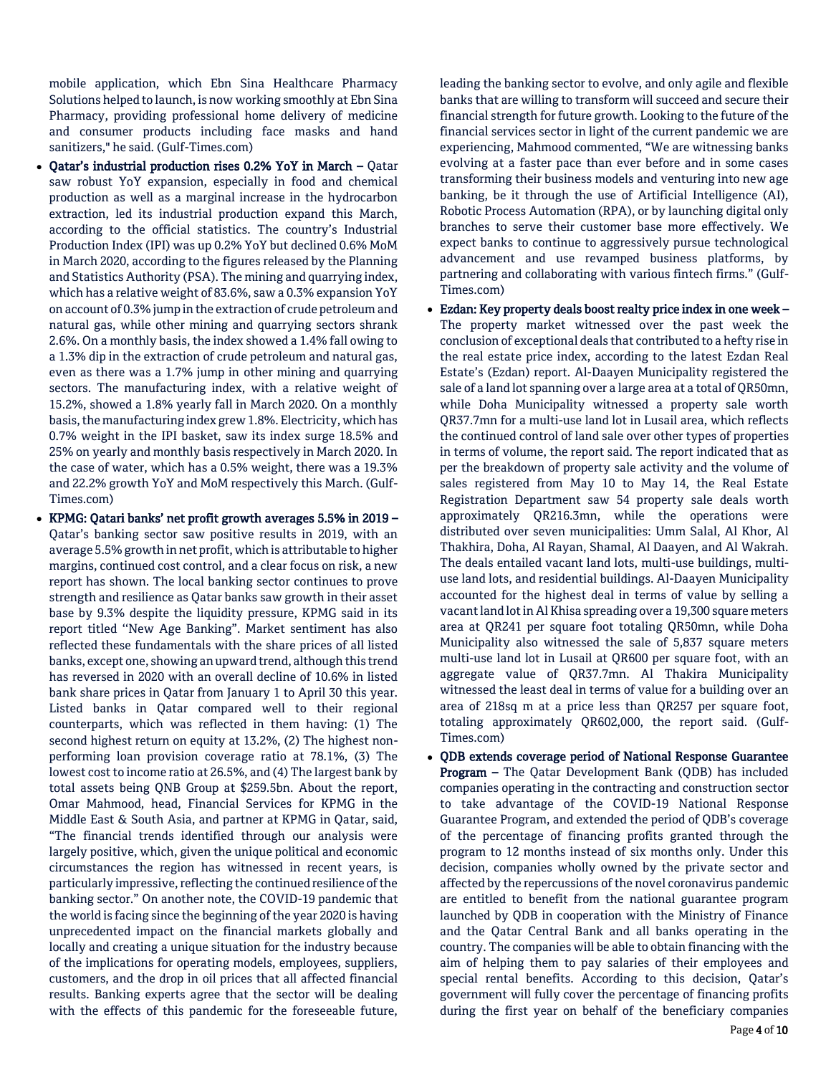mobile application, which Ebn Sina Healthcare Pharmacy Solutions helped to launch, is now working smoothly at Ebn Sina Pharmacy, providing professional home delivery of medicine and consumer products including face masks and hand sanitizers," he said. (Gulf-Times.com)

- Qatar's industrial production rises 0.2% YoY in March Qatar saw robust YoY expansion, especially in food and chemical production as well as a marginal increase in the hydrocarbon extraction, led its industrial production expand this March, according to the official statistics. The country's Industrial Production Index (IPI) was up 0.2% YoY but declined 0.6% MoM in March 2020, according to the figures released by the Planning and Statistics Authority (PSA). The mining and quarrying index, which has a relative weight of 83.6%, saw a 0.3% expansion YoY on account of 0.3% jump in the extraction of crude petroleum and natural gas, while other mining and quarrying sectors shrank 2.6%. On a monthly basis, the index showed a 1.4% fall owing to a 1.3% dip in the extraction of crude petroleum and natural gas, even as there was a 1.7% jump in other mining and quarrying sectors. The manufacturing index, with a relative weight of 15.2%, showed a 1.8% yearly fall in March 2020. On a monthly basis, the manufacturing index grew 1.8%. Electricity, which has 0.7% weight in the IPI basket, saw its index surge 18.5% and 25% on yearly and monthly basis respectively in March 2020. In the case of water, which has a 0.5% weight, there was a 19.3% and 22.2% growth YoY and MoM respectively this March. (Gulf-Times.com)
- KPMG: Qatari banks' net profit growth averages 5.5% in 2019 Qatar's banking sector saw positive results in 2019, with an average 5.5% growth in net profit, which is attributable to higher margins, continued cost control, and a clear focus on risk, a new report has shown. The local banking sector continues to prove strength and resilience as Qatar banks saw growth in their asset base by 9.3% despite the liquidity pressure, KPMG said in its report titled ''New Age Banking". Market sentiment has also reflected these fundamentals with the share prices of all listed banks, except one, showing an upward trend, although this trend has reversed in 2020 with an overall decline of 10.6% in listed bank share prices in Qatar from January 1 to April 30 this year. Listed banks in Qatar compared well to their regional counterparts, which was reflected in them having: (1) The second highest return on equity at 13.2%, (2) The highest nonperforming loan provision coverage ratio at 78.1%, (3) The lowest cost to income ratio at 26.5%, and (4) The largest bank by total assets being QNB Group at \$259.5bn. About the report, Omar Mahmood, head, Financial Services for KPMG in the Middle East & South Asia, and partner at KPMG in Qatar, said, "The financial trends identified through our analysis were largely positive, which, given the unique political and economic circumstances the region has witnessed in recent years, is particularly impressive, reflecting the continued resilience of the banking sector." On another note, the COVID-19 pandemic that the world is facing since the beginning of the year 2020 is having unprecedented impact on the financial markets globally and locally and creating a unique situation for the industry because of the implications for operating models, employees, suppliers, customers, and the drop in oil prices that all affected financial results. Banking experts agree that the sector will be dealing with the effects of this pandemic for the foreseeable future,

leading the banking sector to evolve, and only agile and flexible banks that are willing to transform will succeed and secure their financial strength for future growth. Looking to the future of the financial services sector in light of the current pandemic we are experiencing, Mahmood commented, "We are witnessing banks evolving at a faster pace than ever before and in some cases transforming their business models and venturing into new age banking, be it through the use of Artificial Intelligence (AI), Robotic Process Automation (RPA), or by launching digital only branches to serve their customer base more effectively. We expect banks to continue to aggressively pursue technological advancement and use revamped business platforms, by partnering and collaborating with various fintech firms." (Gulf-Times.com)

- Ezdan: Key property deals boost realty price index in one week The property market witnessed over the past week the conclusion of exceptional deals that contributed to a hefty rise in the real estate price index, according to the latest Ezdan Real Estate's (Ezdan) report. Al-Daayen Municipality registered the sale of a land lot spanning over a large area at a total of QR50mn, while Doha Municipality witnessed a property sale worth QR37.7mn for a multi-use land lot in Lusail area, which reflects the continued control of land sale over other types of properties in terms of volume, the report said. The report indicated that as per the breakdown of property sale activity and the volume of sales registered from May 10 to May 14, the Real Estate Registration Department saw 54 property sale deals worth approximately QR216.3mn, while the operations were distributed over seven municipalities: Umm Salal, Al Khor, Al Thakhira, Doha, Al Rayan, Shamal, Al Daayen, and Al Wakrah. The deals entailed vacant land lots, multi-use buildings, multiuse land lots, and residential buildings. Al-Daayen Municipality accounted for the highest deal in terms of value by selling a vacant land lot in Al Khisa spreading over a 19,300 square meters area at QR241 per square foot totaling QR50mn, while Doha Municipality also witnessed the sale of 5,837 square meters multi-use land lot in Lusail at QR600 per square foot, with an aggregate value of QR37.7mn. Al Thakira Municipality witnessed the least deal in terms of value for a building over an area of 218sq m at a price less than QR257 per square foot, totaling approximately QR602,000, the report said. (Gulf-Times.com)
- QDB extends coverage period of National Response Guarantee Program – The Qatar Development Bank (QDB) has included companies operating in the contracting and construction sector to take advantage of the COVID-19 National Response Guarantee Program, and extended the period of QDB's coverage of the percentage of financing profits granted through the program to 12 months instead of six months only. Under this decision, companies wholly owned by the private sector and affected by the repercussions of the novel coronavirus pandemic are entitled to benefit from the national guarantee program launched by QDB in cooperation with the Ministry of Finance and the Qatar Central Bank and all banks operating in the country. The companies will be able to obtain financing with the aim of helping them to pay salaries of their employees and special rental benefits. According to this decision, Qatar's government will fully cover the percentage of financing profits during the first year on behalf of the beneficiary companies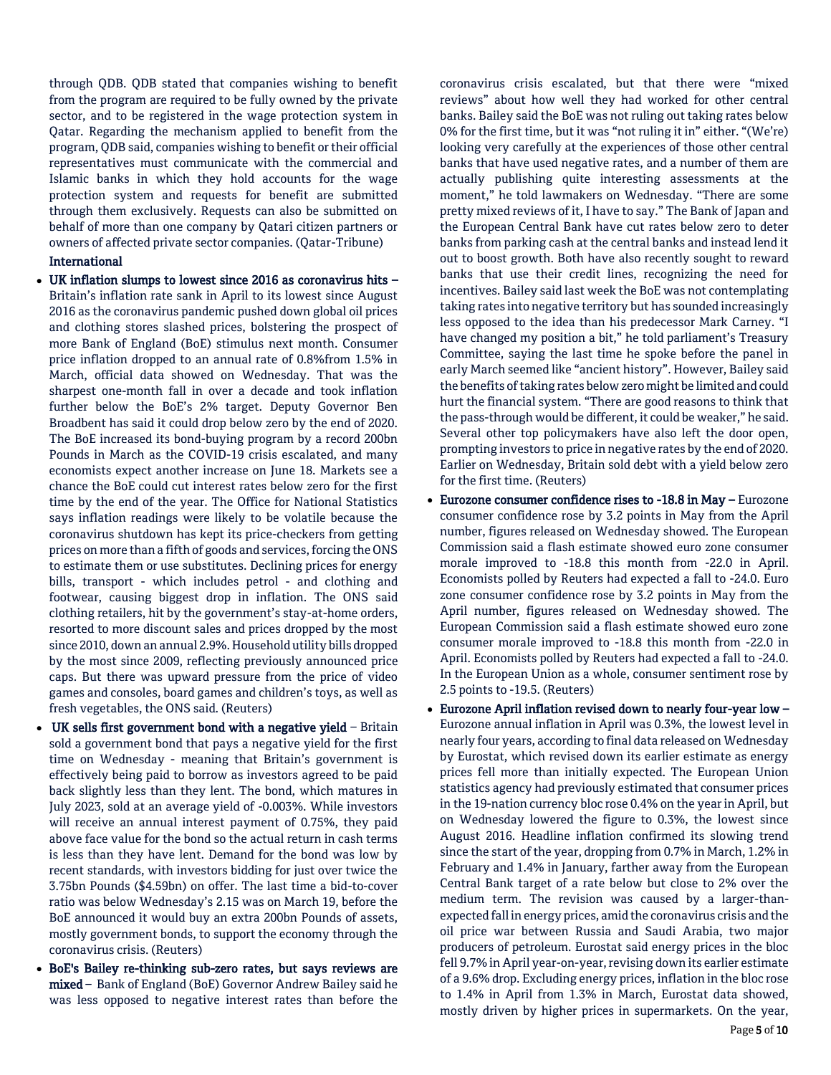through QDB. QDB stated that companies wishing to benefit from the program are required to be fully owned by the private sector, and to be registered in the wage protection system in Qatar. Regarding the mechanism applied to benefit from the program, QDB said, companies wishing to benefit or their official representatives must communicate with the commercial and Islamic banks in which they hold accounts for the wage protection system and requests for benefit are submitted through them exclusively. Requests can also be submitted on behalf of more than one company by Qatari citizen partners or owners of affected private sector companies. (Qatar-Tribune)

#### International

- UK inflation slumps to lowest since 2016 as coronavirus hits Britain's inflation rate sank in April to its lowest since August 2016 as the coronavirus pandemic pushed down global oil prices and clothing stores slashed prices, bolstering the prospect of more Bank of England (BoE) stimulus next month. Consumer price inflation dropped to an annual rate of 0.8%from 1.5% in March, official data showed on Wednesday. That was the sharpest one-month fall in over a decade and took inflation further below the BoE's 2% target. Deputy Governor Ben Broadbent has said it could drop below zero by the end of 2020. The BoE increased its bond-buying program by a record 200bn Pounds in March as the COVID-19 crisis escalated, and many economists expect another increase on June 18. Markets see a chance the BoE could cut interest rates below zero for the first time by the end of the year. The Office for National Statistics says inflation readings were likely to be volatile because the coronavirus shutdown has kept its price-checkers from getting prices on more than a fifth of goods and services, forcing the ONS to estimate them or use substitutes. Declining prices for energy bills, transport - which includes petrol - and clothing and footwear, causing biggest drop in inflation. The ONS said clothing retailers, hit by the government's stay-at-home orders, resorted to more discount sales and prices dropped by the most since 2010, down an annual 2.9%. Household utility bills dropped by the most since 2009, reflecting previously announced price caps. But there was upward pressure from the price of video games and consoles, board games and children's toys, as well as fresh vegetables, the ONS said. (Reuters)
- $\bullet$  UK sells first government bond with a negative yield Britain sold a government bond that pays a negative yield for the first time on Wednesday - meaning that Britain's government is effectively being paid to borrow as investors agreed to be paid back slightly less than they lent. The bond, which matures in July 2023, sold at an average yield of -0.003%. While investors will receive an annual interest payment of 0.75%, they paid above face value for the bond so the actual return in cash terms is less than they have lent. Demand for the bond was low by recent standards, with investors bidding for just over twice the 3.75bn Pounds (\$4.59bn) on offer. The last time a bid-to-cover ratio was below Wednesday's 2.15 was on March 19, before the BoE announced it would buy an extra 200bn Pounds of assets, mostly government bonds, to support the economy through the coronavirus crisis. (Reuters)
- BoE's Bailey re-thinking sub-zero rates, but says reviews are mixed – Bank of England (BoE) Governor Andrew Bailey said he was less opposed to negative interest rates than before the

coronavirus crisis escalated, but that there were "mixed reviews" about how well they had worked for other central banks. Bailey said the BoE was not ruling out taking rates below 0% for the first time, but it was "not ruling it in" either. "(We're) looking very carefully at the experiences of those other central banks that have used negative rates, and a number of them are actually publishing quite interesting assessments at the moment," he told lawmakers on Wednesday. "There are some pretty mixed reviews of it, I have to say." The Bank of Japan and the European Central Bank have cut rates below zero to deter banks from parking cash at the central banks and instead lend it out to boost growth. Both have also recently sought to reward banks that use their credit lines, recognizing the need for incentives. Bailey said last week the BoE was not contemplating taking rates into negative territory but has sounded increasingly less opposed to the idea than his predecessor Mark Carney. "I have changed my position a bit," he told parliament's Treasury Committee, saying the last time he spoke before the panel in early March seemed like "ancient history". However, Bailey said the benefits of taking rates below zero might be limited and could hurt the financial system. "There are good reasons to think that the pass-through would be different, it could be weaker," he said. Several other top policymakers have also left the door open, prompting investors to price in negative rates by the end of 2020. Earlier on Wednesday, Britain sold debt with a yield below zero for the first time. (Reuters)

- Eurozone consumer confidence rises to -18.8 in May Eurozone consumer confidence rose by 3.2 points in May from the April number, figures released on Wednesday showed. The European Commission said a flash estimate showed euro zone consumer morale improved to -18.8 this month from -22.0 in April. Economists polled by Reuters had expected a fall to -24.0. Euro zone consumer confidence rose by 3.2 points in May from the April number, figures released on Wednesday showed. The European Commission said a flash estimate showed euro zone consumer morale improved to -18.8 this month from -22.0 in April. Economists polled by Reuters had expected a fall to -24.0. In the European Union as a whole, consumer sentiment rose by 2.5 points to -19.5. (Reuters)
- Eurozone April inflation revised down to nearly four-year low Eurozone annual inflation in April was 0.3%, the lowest level in nearly four years, according to final data released on Wednesday by Eurostat, which revised down its earlier estimate as energy prices fell more than initially expected. The European Union statistics agency had previously estimated that consumer prices in the 19-nation currency bloc rose 0.4% on the year in April, but on Wednesday lowered the figure to 0.3%, the lowest since August 2016. Headline inflation confirmed its slowing trend since the start of the year, dropping from 0.7% in March, 1.2% in February and 1.4% in January, farther away from the European Central Bank target of a rate below but close to 2% over the medium term. The revision was caused by a larger-thanexpected fall in energy prices, amid the coronavirus crisis and the oil price war between Russia and Saudi Arabia, two major producers of petroleum. Eurostat said energy prices in the bloc fell 9.7% in April year-on-year, revising down its earlier estimate of a 9.6% drop. Excluding energy prices, inflation in the bloc rose to 1.4% in April from 1.3% in March, Eurostat data showed, mostly driven by higher prices in supermarkets. On the year,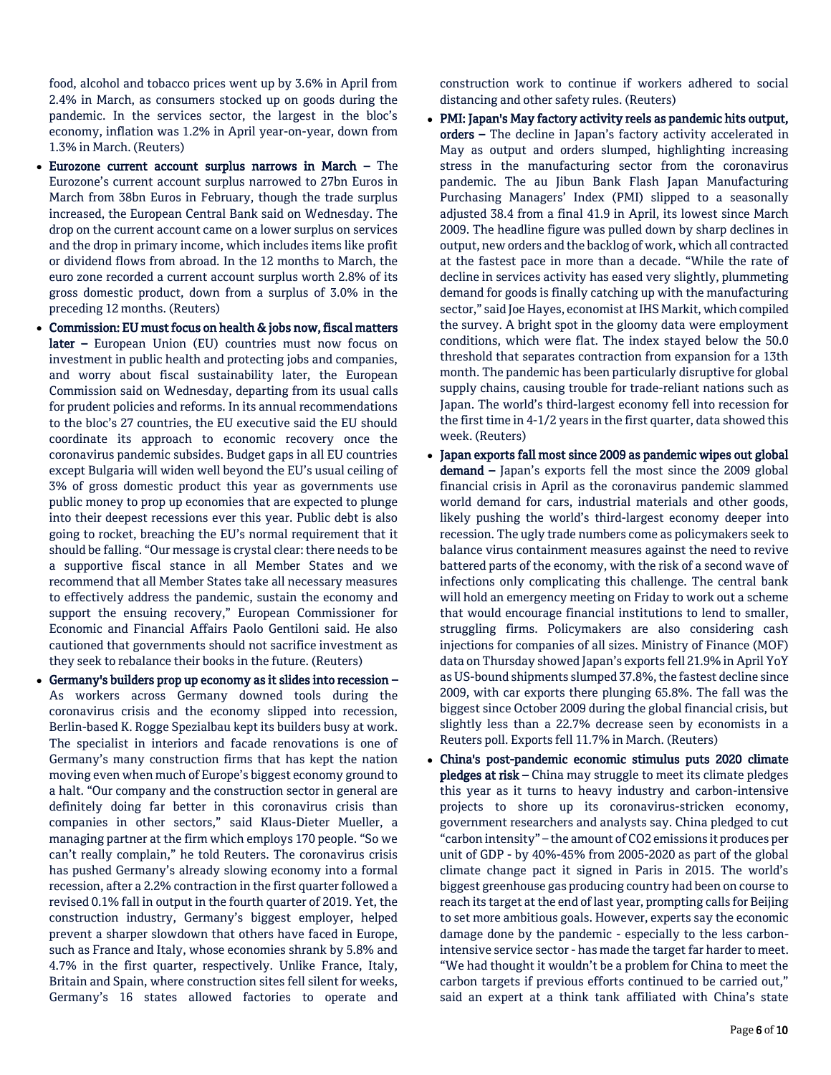food, alcohol and tobacco prices went up by 3.6% in April from 2.4% in March, as consumers stocked up on goods during the pandemic. In the services sector, the largest in the bloc's economy, inflation was 1.2% in April year-on-year, down from 1.3% in March. (Reuters)

- Eurozone current account surplus narrows in March The Eurozone's current account surplus narrowed to 27bn Euros in March from 38bn Euros in February, though the trade surplus increased, the European Central Bank said on Wednesday. The drop on the current account came on a lower surplus on services and the drop in primary income, which includes items like profit or dividend flows from abroad. In the 12 months to March, the euro zone recorded a current account surplus worth 2.8% of its gross domestic product, down from a surplus of 3.0% in the preceding 12 months. (Reuters)
- Commission: EU must focus on health & jobs now, fiscal matters later – European Union (EU) countries must now focus on investment in public health and protecting jobs and companies, and worry about fiscal sustainability later, the European Commission said on Wednesday, departing from its usual calls for prudent policies and reforms. In its annual recommendations to the bloc's 27 countries, the EU executive said the EU should coordinate its approach to economic recovery once the coronavirus pandemic subsides. Budget gaps in all EU countries except Bulgaria will widen well beyond the EU's usual ceiling of 3% of gross domestic product this year as governments use public money to prop up economies that are expected to plunge into their deepest recessions ever this year. Public debt is also going to rocket, breaching the EU's normal requirement that it should be falling. "Our message is crystal clear: there needs to be a supportive fiscal stance in all Member States and we recommend that all Member States take all necessary measures to effectively address the pandemic, sustain the economy and support the ensuing recovery," European Commissioner for Economic and Financial Affairs Paolo Gentiloni said. He also cautioned that governments should not sacrifice investment as they seek to rebalance their books in the future. (Reuters)
- Germany's builders prop up economy as it slides into recession As workers across Germany downed tools during the coronavirus crisis and the economy slipped into recession, Berlin-based K. Rogge Spezialbau kept its builders busy at work. The specialist in interiors and facade renovations is one of Germany's many construction firms that has kept the nation moving even when much of Europe's biggest economy ground to a halt. "Our company and the construction sector in general are definitely doing far better in this coronavirus crisis than companies in other sectors," said Klaus-Dieter Mueller, a managing partner at the firm which employs 170 people. "So we can't really complain," he told Reuters. The coronavirus crisis has pushed Germany's already slowing economy into a formal recession, after a 2.2% contraction in the first quarter followed a revised 0.1% fall in output in the fourth quarter of 2019. Yet, the construction industry, Germany's biggest employer, helped prevent a sharper slowdown that others have faced in Europe, such as France and Italy, whose economies shrank by 5.8% and 4.7% in the first quarter, respectively. Unlike France, Italy, Britain and Spain, where construction sites fell silent for weeks, Germany's 16 states allowed factories to operate and

construction work to continue if workers adhered to social distancing and other safety rules. (Reuters)

- PMI: Japan's May factory activity reels as pandemic hits output, orders - The decline in Japan's factory activity accelerated in May as output and orders slumped, highlighting increasing stress in the manufacturing sector from the coronavirus pandemic. The au Jibun Bank Flash Japan Manufacturing Purchasing Managers' Index (PMI) slipped to a seasonally adjusted 38.4 from a final 41.9 in April, its lowest since March 2009. The headline figure was pulled down by sharp declines in output, new orders and the backlog of work, which all contracted at the fastest pace in more than a decade. "While the rate of decline in services activity has eased very slightly, plummeting demand for goods is finally catching up with the manufacturing sector," said Joe Hayes, economist at IHS Markit, which compiled the survey. A bright spot in the gloomy data were employment conditions, which were flat. The index stayed below the 50.0 threshold that separates contraction from expansion for a 13th month. The pandemic has been particularly disruptive for global supply chains, causing trouble for trade-reliant nations such as Japan. The world's third-largest economy fell into recession for the first time in 4-1/2 years in the first quarter, data showed this week. (Reuters)
- Japan exports fall most since 2009 as pandemic wipes out global demand – Japan's exports fell the most since the 2009 global financial crisis in April as the coronavirus pandemic slammed world demand for cars, industrial materials and other goods, likely pushing the world's third-largest economy deeper into recession. The ugly trade numbers come as policymakers seek to balance virus containment measures against the need to revive battered parts of the economy, with the risk of a second wave of infections only complicating this challenge. The central bank will hold an emergency meeting on Friday to work out a scheme that would encourage financial institutions to lend to smaller, struggling firms. Policymakers are also considering cash injections for companies of all sizes. Ministry of Finance (MOF) data on Thursday showed Japan's exports fell 21.9% in April YoY as US-bound shipments slumped 37.8%, the fastest decline since 2009, with car exports there plunging 65.8%. The fall was the biggest since October 2009 during the global financial crisis, but slightly less than a 22.7% decrease seen by economists in a Reuters poll. Exports fell 11.7% in March. (Reuters)
- China's post-pandemic economic stimulus puts 2020 climate pledges at risk - China may struggle to meet its climate pledges this year as it turns to heavy industry and carbon-intensive projects to shore up its coronavirus-stricken economy, government researchers and analysts say. China pledged to cut "carbon intensity" – the amount of CO2 emissions it produces per unit of GDP - by 40%-45% from 2005-2020 as part of the global climate change pact it signed in Paris in 2015. The world's biggest greenhouse gas producing country had been on course to reach its target at the end of last year, prompting calls for Beijing to set more ambitious goals. However, experts say the economic damage done by the pandemic - especially to the less carbonintensive service sector - has made the target far harder to meet. "We had thought it wouldn't be a problem for China to meet the carbon targets if previous efforts continued to be carried out," said an expert at a think tank affiliated with China's state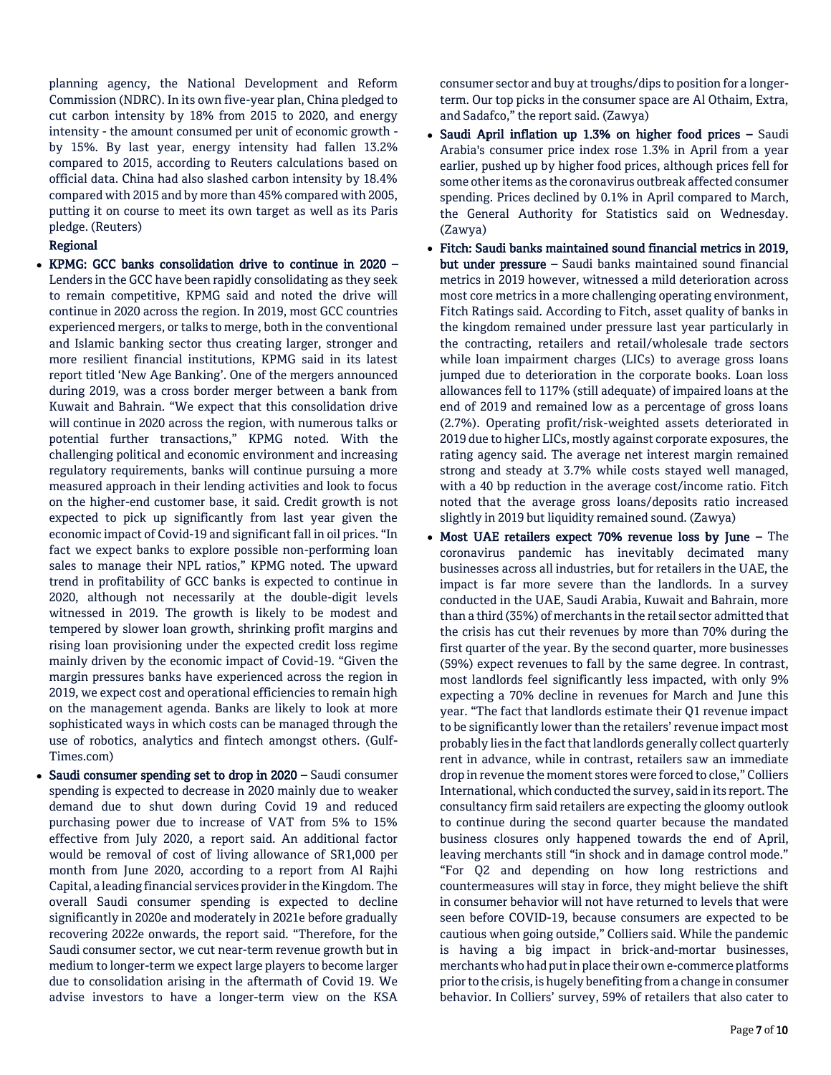planning agency, the National Development and Reform Commission (NDRC). In its own five-year plan, China pledged to cut carbon intensity by 18% from 2015 to 2020, and energy intensity - the amount consumed per unit of economic growth by 15%. By last year, energy intensity had fallen 13.2% compared to 2015, according to Reuters calculations based on official data. China had also slashed carbon intensity by 18.4% compared with 2015 and by more than 45% compared with 2005, putting it on course to meet its own target as well as its Paris pledge. (Reuters)

# Regional

- KPMG: GCC banks consolidation drive to continue in 2020 Lenders in the GCC have been rapidly consolidating as they seek to remain competitive, KPMG said and noted the drive will continue in 2020 across the region. In 2019, most GCC countries experienced mergers, or talks to merge, both in the conventional and Islamic banking sector thus creating larger, stronger and more resilient financial institutions, KPMG said in its latest report titled 'New Age Banking'. One of the mergers announced during 2019, was a cross border merger between a bank from Kuwait and Bahrain. "We expect that this consolidation drive will continue in 2020 across the region, with numerous talks or potential further transactions," KPMG noted. With the challenging political and economic environment and increasing regulatory requirements, banks will continue pursuing a more measured approach in their lending activities and look to focus on the higher-end customer base, it said. Credit growth is not expected to pick up significantly from last year given the economic impact of Covid-19 and significant fall in oil prices. "In fact we expect banks to explore possible non-performing loan sales to manage their NPL ratios," KPMG noted. The upward trend in profitability of GCC banks is expected to continue in 2020, although not necessarily at the double-digit levels witnessed in 2019. The growth is likely to be modest and tempered by slower loan growth, shrinking profit margins and rising loan provisioning under the expected credit loss regime mainly driven by the economic impact of Covid-19. "Given the margin pressures banks have experienced across the region in 2019, we expect cost and operational efficiencies to remain high on the management agenda. Banks are likely to look at more sophisticated ways in which costs can be managed through the use of robotics, analytics and fintech amongst others. (Gulf-Times.com)
- Saudi consumer spending set to drop in 2020 Saudi consumer spending is expected to decrease in 2020 mainly due to weaker demand due to shut down during Covid 19 and reduced purchasing power due to increase of VAT from 5% to 15% effective from July 2020, a report said. An additional factor would be removal of cost of living allowance of SR1,000 per month from June 2020, according to a report from Al Rajhi Capital, a leading financial services provider in the Kingdom. The overall Saudi consumer spending is expected to decline significantly in 2020e and moderately in 2021e before gradually recovering 2022e onwards, the report said. "Therefore, for the Saudi consumer sector, we cut near-term revenue growth but in medium to longer-term we expect large players to become larger due to consolidation arising in the aftermath of Covid 19. We advise investors to have a longer-term view on the KSA

consumer sector and buy at troughs/dips to position for a longerterm. Our top picks in the consumer space are Al Othaim, Extra, and Sadafco," the report said. (Zawya)

- Saudi April inflation up 1.3% on higher food prices Saudi Arabia's consumer price index rose 1.3% in April from a year earlier, pushed up by higher food prices, although prices fell for some other items as the coronavirus outbreak affected consumer spending. Prices declined by 0.1% in April compared to March, the General Authority for Statistics said on Wednesday. (Zawya)
- Fitch: Saudi banks maintained sound financial metrics in 2019, but under pressure – Saudi banks maintained sound financial metrics in 2019 however, witnessed a mild deterioration across most core metrics in a more challenging operating environment, Fitch Ratings said. According to Fitch, asset quality of banks in the kingdom remained under pressure last year particularly in the contracting, retailers and retail/wholesale trade sectors while loan impairment charges (LICs) to average gross loans jumped due to deterioration in the corporate books. Loan loss allowances fell to 117% (still adequate) of impaired loans at the end of 2019 and remained low as a percentage of gross loans (2.7%). Operating profit/risk-weighted assets deteriorated in 2019 due to higher LICs, mostly against corporate exposures, the rating agency said. The average net interest margin remained strong and steady at 3.7% while costs stayed well managed, with a 40 bp reduction in the average cost/income ratio. Fitch noted that the average gross loans/deposits ratio increased slightly in 2019 but liquidity remained sound. (Zawya)
- Most UAE retailers expect 70% revenue loss by June The coronavirus pandemic has inevitably decimated many businesses across all industries, but for retailers in the UAE, the impact is far more severe than the landlords. In a survey conducted in the UAE, Saudi Arabia, Kuwait and Bahrain, more than a third (35%) of merchants in the retail sector admitted that the crisis has cut their revenues by more than 70% during the first quarter of the year. By the second quarter, more businesses (59%) expect revenues to fall by the same degree. In contrast, most landlords feel significantly less impacted, with only 9% expecting a 70% decline in revenues for March and June this year. "The fact that landlords estimate their Q1 revenue impact to be significantly lower than the retailers' revenue impact most probably lies in the fact that landlords generally collect quarterly rent in advance, while in contrast, retailers saw an immediate drop in revenue the moment stores were forced to close," Colliers International, which conducted the survey, said in its report. The consultancy firm said retailers are expecting the gloomy outlook to continue during the second quarter because the mandated business closures only happened towards the end of April, leaving merchants still "in shock and in damage control mode." "For Q2 and depending on how long restrictions and countermeasures will stay in force, they might believe the shift in consumer behavior will not have returned to levels that were seen before COVID-19, because consumers are expected to be cautious when going outside," Colliers said. While the pandemic is having a big impact in brick-and-mortar businesses, merchants who had put in place their own e-commerce platforms prior to the crisis, is hugely benefiting from a change in consumer behavior. In Colliers' survey, 59% of retailers that also cater to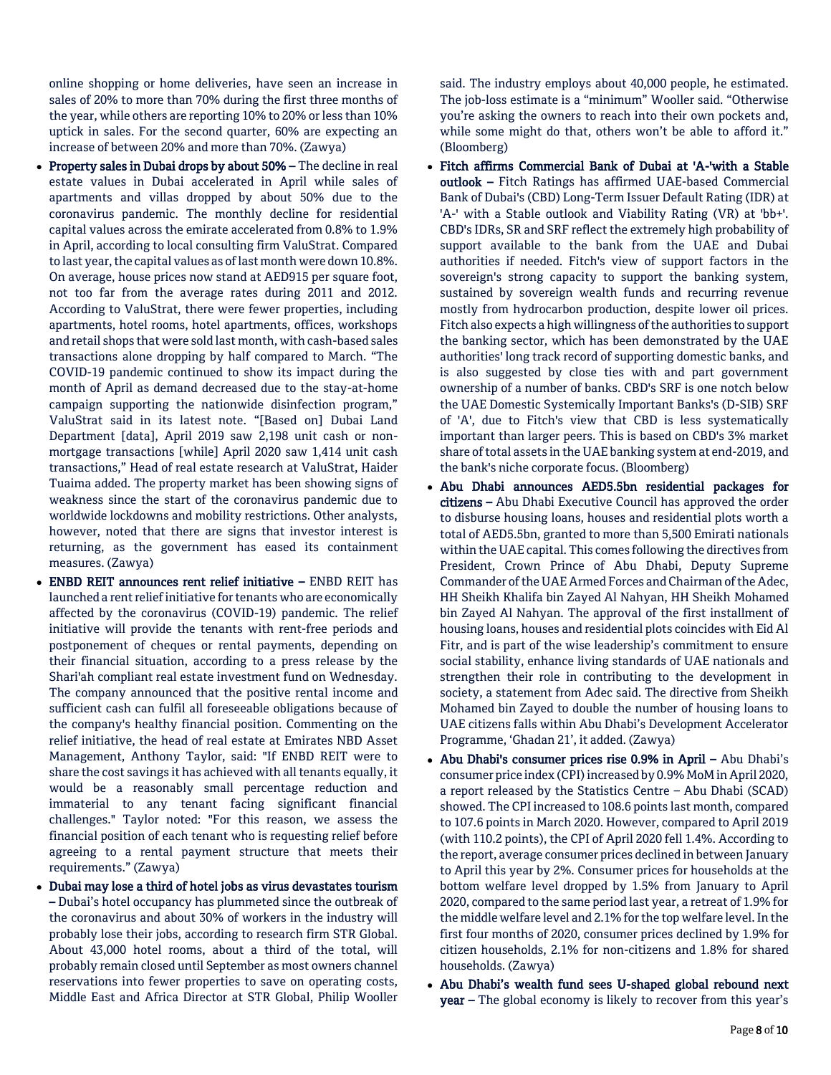online shopping or home deliveries, have seen an increase in sales of 20% to more than 70% during the first three months of the year, while others are reporting 10% to 20% or less than 10% uptick in sales. For the second quarter, 60% are expecting an increase of between 20% and more than 70%. (Zawya)

- Property sales in Dubai drops by about 50% The decline in real estate values in Dubai accelerated in April while sales of apartments and villas dropped by about 50% due to the coronavirus pandemic. The monthly decline for residential capital values across the emirate accelerated from 0.8% to 1.9% in April, according to local consulting firm ValuStrat. Compared to last year, the capital values as of last month were down 10.8%. On average, house prices now stand at AED915 per square foot, not too far from the average rates during 2011 and 2012. According to ValuStrat, there were fewer properties, including apartments, hotel rooms, hotel apartments, offices, workshops and retail shops that were sold last month, with cash-based sales transactions alone dropping by half compared to March. "The COVID-19 pandemic continued to show its impact during the month of April as demand decreased due to the stay-at-home campaign supporting the nationwide disinfection program," ValuStrat said in its latest note. "[Based on] Dubai Land Department [data], April 2019 saw 2,198 unit cash or nonmortgage transactions [while] April 2020 saw 1,414 unit cash transactions," Head of real estate research at ValuStrat, Haider Tuaima added. The property market has been showing signs of weakness since the start of the coronavirus pandemic due to worldwide lockdowns and mobility restrictions. Other analysts, however, noted that there are signs that investor interest is returning, as the government has eased its containment measures. (Zawya)
- ENBD REIT announces rent relief initiative ENBD REIT has launched a rent relief initiative for tenants who are economically affected by the coronavirus (COVID-19) pandemic. The relief initiative will provide the tenants with rent-free periods and postponement of cheques or rental payments, depending on their financial situation, according to a press release by the Shari'ah compliant real estate investment fund on Wednesday. The company announced that the positive rental income and sufficient cash can fulfil all foreseeable obligations because of the company's healthy financial position. Commenting on the relief initiative, the head of real estate at Emirates NBD Asset Management, Anthony Taylor, said: "If ENBD REIT were to share the cost savings it has achieved with all tenants equally, it would be a reasonably small percentage reduction and immaterial to any tenant facing significant financial challenges." Taylor noted: "For this reason, we assess the financial position of each tenant who is requesting relief before agreeing to a rental payment structure that meets their requirements." (Zawya)
- Dubai may lose a third of hotel jobs as virus devastates tourism – Dubai's hotel occupancy has plummeted since the outbreak of the coronavirus and about 30% of workers in the industry will probably lose their jobs, according to research firm STR Global. About 43,000 hotel rooms, about a third of the total, will probably remain closed until September as most owners channel reservations into fewer properties to save on operating costs, Middle East and Africa Director at STR Global, Philip Wooller

said. The industry employs about 40,000 people, he estimated. The job-loss estimate is a "minimum" Wooller said. "Otherwise you're asking the owners to reach into their own pockets and, while some might do that, others won't be able to afford it." (Bloomberg)

- Fitch affirms Commercial Bank of Dubai at 'A-'with a Stable outlook – Fitch Ratings has affirmed UAE-based Commercial Bank of Dubai's (CBD) Long-Term Issuer Default Rating (IDR) at 'A-' with a Stable outlook and Viability Rating (VR) at 'bb+'. CBD's IDRs, SR and SRF reflect the extremely high probability of support available to the bank from the UAE and Dubai authorities if needed. Fitch's view of support factors in the sovereign's strong capacity to support the banking system, sustained by sovereign wealth funds and recurring revenue mostly from hydrocarbon production, despite lower oil prices. Fitch also expects a high willingness of the authorities to support the banking sector, which has been demonstrated by the UAE authorities' long track record of supporting domestic banks, and is also suggested by close ties with and part government ownership of a number of banks. CBD's SRF is one notch below the UAE Domestic Systemically Important Banks's (D-SIB) SRF of 'A', due to Fitch's view that CBD is less systematically important than larger peers. This is based on CBD's 3% market share of total assets in the UAE banking system at end-2019, and the bank's niche corporate focus. (Bloomberg)
- Abu Dhabi announces AED5.5bn residential packages for citizens – Abu Dhabi Executive Council has approved the order to disburse housing loans, houses and residential plots worth a total of AED5.5bn, granted to more than 5,500 Emirati nationals within the UAE capital. This comes following the directives from President, Crown Prince of Abu Dhabi, Deputy Supreme Commander of the UAE Armed Forces and Chairman of the Adec, HH Sheikh Khalifa bin Zayed Al Nahyan, HH Sheikh Mohamed bin Zayed Al Nahyan. The approval of the first installment of housing loans, houses and residential plots coincides with Eid Al Fitr, and is part of the wise leadership's commitment to ensure social stability, enhance living standards of UAE nationals and strengthen their role in contributing to the development in society, a statement from Adec said. The directive from Sheikh Mohamed bin Zayed to double the number of housing loans to UAE citizens falls within Abu Dhabi's Development Accelerator Programme, 'Ghadan 21', it added. (Zawya)
- Abu Dhabi's consumer prices rise 0.9% in April Abu Dhabi's consumer price index (CPI) increased by 0.9% MoM in April 2020, a report released by the Statistics Centre – Abu Dhabi (SCAD) showed. The CPI increased to 108.6 points last month, compared to 107.6 points in March 2020. However, compared to April 2019 (with 110.2 points), the CPI of April 2020 fell 1.4%. According to the report, average consumer prices declined in between January to April this year by 2%. Consumer prices for households at the bottom welfare level dropped by 1.5% from January to April 2020, compared to the same period last year, a retreat of 1.9% for the middle welfare level and 2.1% for the top welfare level. In the first four months of 2020, consumer prices declined by 1.9% for citizen households, 2.1% for non-citizens and 1.8% for shared households. (Zawya)
- Abu Dhabi's wealth fund sees U-shaped global rebound next year - The global economy is likely to recover from this year's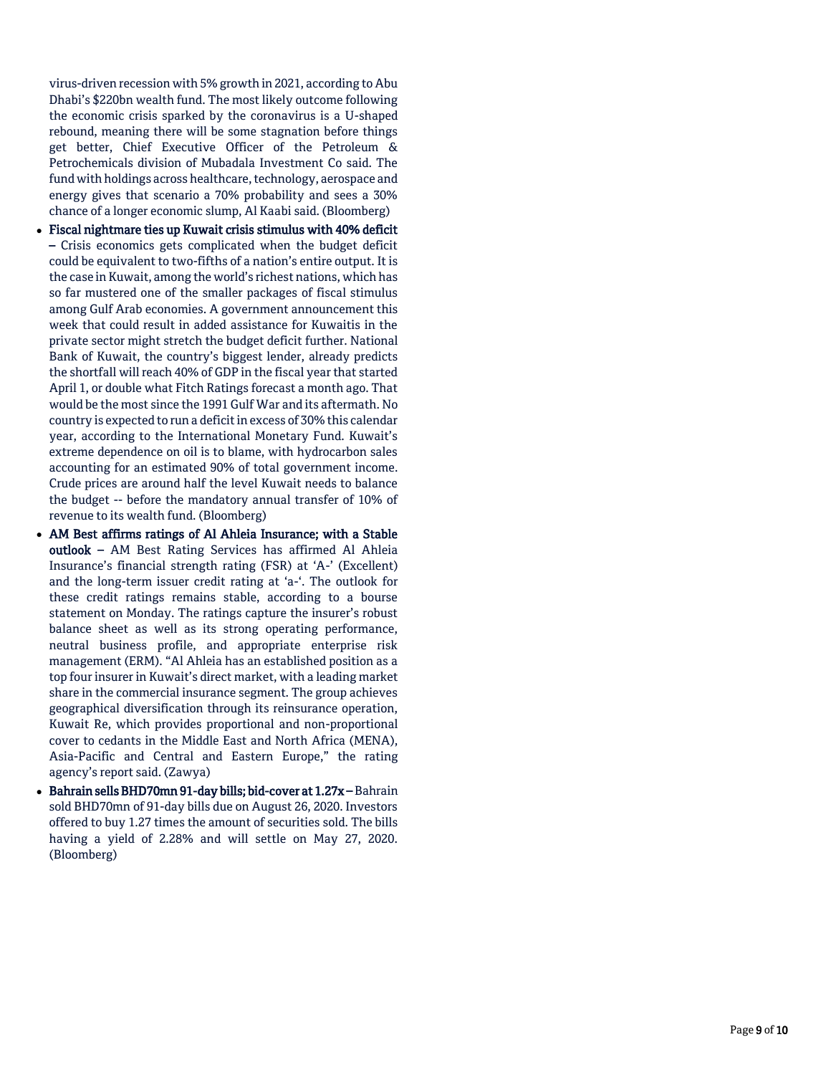virus -driven recession with 5% growth in 2021, according to Abu Dhabi's \$220bn wealth fund. The most likely outcome following the economic crisis sparked by the coronavirus is a U -shaped rebound, meaning there will be some stagnation before things get better, Chief Executive Officer of the Petroleum & Petrochemicals division of Mubadala Investment Co said. The fund with holdings across healthcare, technology, aerospace and energy gives that scenario a 70% probability and sees a 30% chance of a longer economic slump, Al Kaabi said. (Bloomberg)

- Fiscal nightmare ties up Kuwait crisis stimulus with 40% deficit – Crisis economics gets complicated when the budget deficit could be equivalent to two -fifths of a nation's entire output. It is the case in Kuwait, among the world's richest nations, which has so far mustered one of the smaller packages of fiscal stimulus among Gulf Arab economies. A government announcement this week that could result in added assistance for Kuwaitis in the private sector might stretch the budget deficit further. National Bank of Kuwait, the country's biggest lender, already predicts the shortfall will reach 40% of GDP in the fiscal year that started April 1, or double what Fitch Ratings forecast a month ago. That would be the most since the 1991 Gulf War and its aftermath. No country is expected to run a deficit in excess of 30% this calendar year, according to the International Monetary Fund. Kuwait's extreme dependence on oil is to blame, with hydrocarbon sales accounting for an estimated 90% of total government income. Crude prices are around half the level Kuwait needs to balance the budget -- before the mandatory annual transfer of 10% of revenue to its wealth fund. (Bloomberg)
- AM Best affirms ratings of Al Ahleia Insurance; with a Stable outlook – AM Best Rating Services has affirmed Al Ahleia Insurance's financial strength rating (FSR) at 'A -' (Excellent) and the long -term issuer credit rating at 'a -'. The outlook for these credit ratings remains stable, according to a bourse statement on Monday. The ratings capture the insurer's robust balance sheet as well as its strong operating performance, neutral business profile, and appropriate enterprise risk management (ERM). "Al Ahleia has an established position as a top four insurer in Kuwait's direct market, with a leading market share in the commercial insurance segment. The group achieves geographical diversification through its reinsurance operation, Kuwait Re, which provides proportional and non -proportional cover to cedants in the Middle East and North Africa (MENA), Asia -Pacific and Central and Eastern Europe," the rating agency's report said. (Zawya)
- Bahrain sells BHD70mn 91 -day bills; bid -cover at 1.27x Bahrain sold BHD70mn of 91 -day bills due on August 26, 2020. Investors offered to buy 1.27 times the amount of securities sold. The bills having a yield of 2.28% and will settle on May 27, 2020. (Bloomberg)